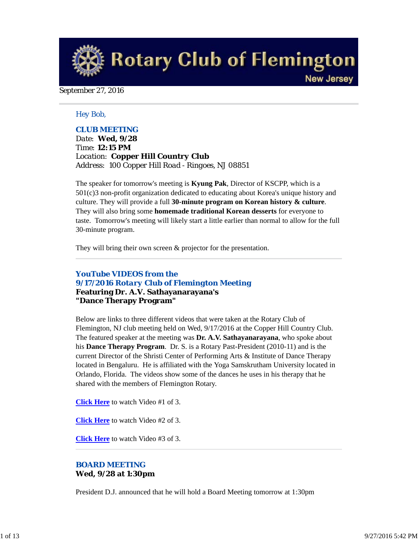**Rotary Club of Flemington New Jersey** 

#### September 27, 2016

#### *Hey Bob,*

## *CLUB MEETING*

*Date: Wed, 9/28 Time: 12:15 PM Location: Copper Hill Country Club Address: 100 Copper Hill Road - Ringoes, NJ 08851*

The speaker for tomorrow's meeting is **Kyung Pak**, Director of KSCPP, which is a 501(c)3 non-profit organization dedicated to educating about Korea's unique history and culture. They will provide a full **30-minute program on Korean history & culture**. They will also bring some **homemade traditional Korean desserts** for everyone to taste. Tomorrow's meeting will likely start a little earlier than normal to allow for the full 30-minute program.

They will bring their own screen  $\&$  projector for the presentation.

## *YouTube VIDEOS from the 9/17/2016 Rotary Club of Flemington Meeting* **Featuring Dr. A.V. Sathayanarayana's "Dance Therapy Program"**

Below are links to three different videos that were taken at the Rotary Club of Flemington, NJ club meeting held on Wed, 9/17/2016 at the Copper Hill Country Club. The featured speaker at the meeting was **Dr. A.V. Sathayanarayana**, who spoke about his **Dance Therapy Program**. Dr. S. is a Rotary Past-President (2010-11) and is the current Director of the Shristi Center of Performing Arts & Institute of Dance Therapy located in Bengaluru. He is affiliated with the Yoga Samskrutham University located in Orlando, Florida. The videos show some of the dances he uses in his therapy that he shared with the members of Flemington Rotary.

**Click Here** to watch Video #1 of 3.

**Click Here** to watch Video #2 of 3.

**Click Here** to watch Video #3 of 3.

## *BOARD MEETING* **Wed, 9/28 at 1:30pm**

President D.J. announced that he will hold a Board Meeting tomorrow at 1:30pm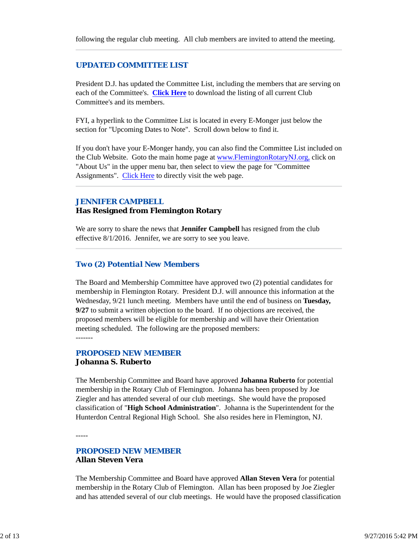## *UPDATED COMMITTEE LIST*

President D.J. has updated the Committee List, including the members that are serving on each of the Committee's. **Click Here** to download the listing of all current Club Committee's and its members.

FYI, a hyperlink to the Committee List is located in every E-Monger just below the section for "Upcoming Dates to Note". Scroll down below to find it.

If you don't have your E-Monger handy, you can also find the Committee List included on the Club Website. Goto the main home page at www.FlemingtonRotaryNJ.org, click on "About Us" in the upper menu bar, then select to view the page for "Committee Assignments". Click Here to directly visit the web page.

#### *JENNIFER CAMPBELL*

#### **Has Resigned from Flemington Rotary**

We are sorry to share the news that **Jennifer Campbell** has resigned from the club effective 8/1/2016. Jennifer, we are sorry to see you leave.

## *Two (2) Potential New Members*

The Board and Membership Committee have approved two (2) potential candidates for membership in Flemington Rotary. President D.J. will announce this information at the Wednesday, 9/21 lunch meeting. Members have until the end of business on **Tuesday, 9/27** to submit a written objection to the board. If no objections are received, the proposed members will be eligible for membership and will have their Orientation meeting scheduled. The following are the proposed members: -------

## *PROPOSED NEW MEMBER* **Johanna S. Ruberto**

The Membership Committee and Board have approved **Johanna Ruberto** for potential membership in the Rotary Club of Flemington. Johanna has been proposed by Joe Ziegler and has attended several of our club meetings. She would have the proposed classification of "**High School Administration**". Johanna is the Superintendent for the Hunterdon Central Regional High School. She also resides here in Flemington, NJ.

-----

## *PROPOSED NEW MEMBER* **Allan Steven Vera**

The Membership Committee and Board have approved **Allan Steven Vera** for potential membership in the Rotary Club of Flemington. Allan has been proposed by Joe Ziegler and has attended several of our club meetings. He would have the proposed classification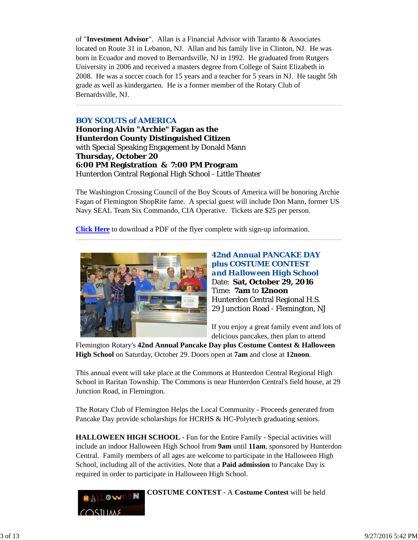of "**Investment Advisor**". Allan is a Financial Advisor with Taranto & Associates located on Route 31 in Lebanon, NJ. Allan and his family live in Clinton, NJ. He was born in Ecuador and moved to Bernardsville, NJ in 1992. He graduated from Rutgers University in 2006 and received a masters degree from College of Saint Elizabeth in 2008. He was a soccer coach for 15 years and a teacher for 5 years in NJ. He taught 5th grade as well as kindergarten. He is a former member of the Rotary Club of Bernardsville, NJ.

## *BOY SCOUTS of AMERICA*

**Honoring Alvin "Archie" Fagan as the Hunterdon County Distinguished Citizen** with Special Speaking Engagement by Donald Mann **Thursday, October 20 6:00 PM Registration & 7:00 PM Program** Hunterdon Central Regional High School - Little Theater

The Washington Crossing Council of the Boy Scouts of America will be honoring Archie Fagan of Flemington ShopRite fame. A special guest will include Don Mann, former US Navy SEAL Team Six Commando, CIA Operative. Tickets are \$25 per person.

**Click Here** to download a PDF of the flyer complete with sign-up information.



**42nd Annual PANCAKE DAY plus COSTUME CONTEST**  *and Halloween High School* Date: **Sat, October 29, 2016** Time: **7am** to **12noon** Hunterdon Central Regional H.S. 29 Junction Road - Flemington, NJ

If you enjoy a great family event and lots of delicious pancakes, then plan to attend

Flemington Rotary's **42nd Annual Pancake Day plus Costume Contest & Halloween High School** on Saturday, October 29. Doors open at **7am** and close at **12noon**.

This annual event will take place at the Commons at Hunterdon Central Regional High School in Raritan Township. The Commons is near Hunterdon Central's field house, at 29 Junction Road, in Flemington.

The Rotary Club of Flemington Helps the Local Community - Proceeds generated from Pancake Day provide scholarships for HCRHS & HC-Polytech graduating seniors.

**HALLOWEEN HIGH SCHOOL** - Fun for the Entire Family - Special activities will include an indoor Halloween High School from **9am** until **11am**, sponsored by Hunterdon Central. Family members of all ages are welcome to participate in the Halloween High School, including all of the activities. Note that a **Paid admission** to Pancake Day is required in order to participate in Halloween High School.



**COSTUME CONTEST** - A **Costume Contest** will be held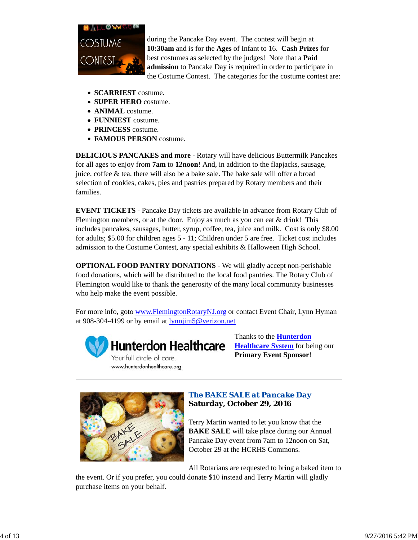

during the Pancake Day event. The contest will begin at **10:30am** and is for the **Ages** of Infant to 16. **Cash Prizes** for best costumes as selected by the judges! Note that a **Paid admission** to Pancake Day is required in order to participate in the Costume Contest. The categories for the costume contest are:

- **SCARRIEST** costume.
- **SUPER HERO** costume.
- **ANIMAL** costume.
- **FUNNIEST** costume.
- **PRINCESS** costume.
- **FAMOUS PERSON** costume.

**DELICIOUS PANCAKES and more** - Rotary will have delicious Buttermilk Pancakes for all ages to enjoy from **7am** to **12noon**! And, in addition to the flapjacks, sausage, juice, coffee & tea, there will also be a bake sale. The bake sale will offer a broad selection of cookies, cakes, pies and pastries prepared by Rotary members and their families.

**EVENT TICKETS** - Pancake Day tickets are available in advance from Rotary Club of Flemington members, or at the door. Enjoy as much as you can eat & drink! This includes pancakes, sausages, butter, syrup, coffee, tea, juice and milk. Cost is only \$8.00 for adults; \$5.00 for children ages 5 - 11; Children under 5 are free. Ticket cost includes admission to the Costume Contest, any special exhibits & Halloween High School.

**OPTIONAL FOOD PANTRY DONATIONS** - We will gladly accept non-perishable food donations, which will be distributed to the local food pantries. The Rotary Club of Flemington would like to thank the generosity of the many local community businesses who help make the event possible.

For more info, goto www.FlemingtonRotaryNJ.org or contact Event Chair, Lynn Hyman at 908-304-4199 or by email at lynnjim5@verizon.net



**Hunterdon Healthcare** Your full circle of care.

www.hunterdonhealthcare.org

Thanks to the **Hunterdon Healthcare System** for being our **Primary Event Sponsor**!



# *The BAKE SALE at Pancake Day* **Saturday, October 29, 2016**

Terry Martin wanted to let you know that the **BAKE SALE** will take place during our Annual Pancake Day event from 7am to 12noon on Sat, October 29 at the HCRHS Commons.

All Rotarians are requested to bring a baked item to

the event. Or if you prefer, you could donate \$10 instead and Terry Martin will gladly purchase items on your behalf.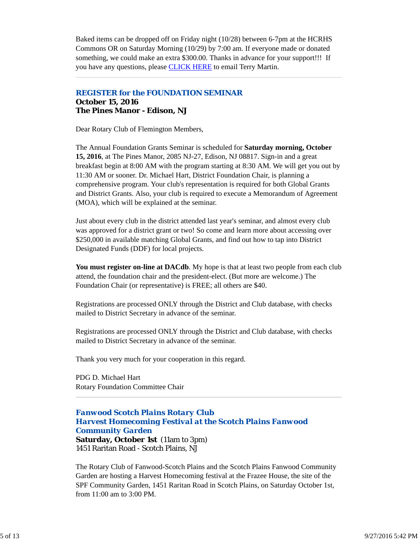Baked items can be dropped off on Friday night (10/28) between 6-7pm at the HCRHS Commons OR on Saturday Morning (10/29) by 7:00 am. If everyone made or donated something, we could make an extra \$300.00. Thanks in advance for your support!!! If you have any questions, please **CLICK HERE** to email Terry Martin.

## *REGISTER for the FOUNDATION SEMINAR* **October 15, 2016 The Pines Manor - Edison, NJ**

Dear Rotary Club of Flemington Members,

The Annual Foundation Grants Seminar is scheduled for **Saturday morning, October 15, 2016**, at The Pines Manor, 2085 NJ-27, Edison, NJ 08817. Sign-in and a great breakfast begin at 8:00 AM with the program starting at 8:30 AM. We will get you out by 11:30 AM or sooner. Dr. Michael Hart, District Foundation Chair, is planning a comprehensive program. Your club's representation is required for both Global Grants and District Grants. Also, your club is required to execute a Memorandum of Agreement (MOA), which will be explained at the seminar.

Just about every club in the district attended last year's seminar, and almost every club was approved for a district grant or two! So come and learn more about accessing over \$250,000 in available matching Global Grants, and find out how to tap into District Designated Funds (DDF) for local projects.

**You must register on-line at DACdb**. My hope is that at least two people from each club attend, the foundation chair and the president-elect. (But more are welcome.) The Foundation Chair (or representative) is FREE; all others are \$40.

Registrations are processed ONLY through the District and Club database, with checks mailed to District Secretary in advance of the seminar.

Registrations are processed ONLY through the District and Club database, with checks mailed to District Secretary in advance of the seminar.

Thank you very much for your cooperation in this regard.

PDG D. Michael Hart Rotary Foundation Committee Chair

# *Fanwood Scotch Plains Rotary Club Harvest Homecoming Festival at the Scotch Plains Fanwood Community Garden*

**Saturday, October 1st** (11am to 3pm) 1451 Raritan Road - Scotch Plains, NJ

The Rotary Club of Fanwood-Scotch Plains and the Scotch Plains Fanwood Community Garden are hosting a Harvest Homecoming festival at the Frazee House, the site of the SPF Community Garden, 1451 Raritan Road in Scotch Plains, on Saturday October 1st, from 11:00 am to 3:00 PM.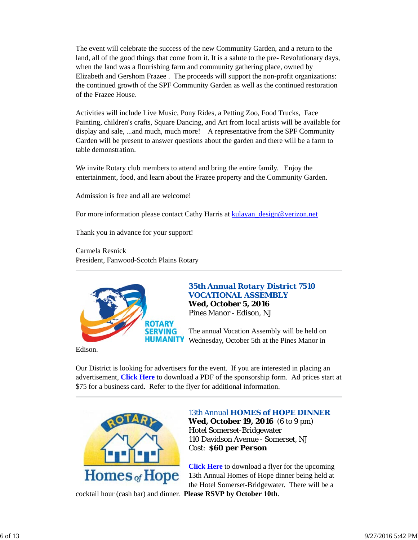The event will celebrate the success of the new Community Garden, and a return to the land, all of the good things that come from it. It is a salute to the pre- Revolutionary days, when the land was a flourishing farm and community gathering place, owned by Elizabeth and Gershom Frazee . The proceeds will support the non-profit organizations: the continued growth of the SPF Community Garden as well as the continued restoration of the Frazee House.

Activities will include Live Music, Pony Rides, a Petting Zoo, Food Trucks, Face Painting, children's crafts, Square Dancing, and Art from local artists will be available for display and sale, ...and much, much more! A representative from the SPF Community Garden will be present to answer questions about the garden and there will be a farm to table demonstration.

We invite Rotary club members to attend and bring the entire family. Enjoy the entertainment, food, and learn about the Frazee property and the Community Garden.

Admission is free and all are welcome!

For more information please contact Cathy Harris at kulayan\_design@verizon.net

Thank you in advance for your support!

Carmela Resnick President, Fanwood-Scotch Plains Rotary



# *35th Annual Rotary District 7510 VOCATIONAL ASSEMBLY*

**Wed, October 5, 2016** Pines Manor - Edison, NJ

The annual Vocation Assembly will be held on Wednesday, October 5th at the Pines Manor in

Edison.

Our District is looking for advertisers for the event. If you are interested in placing an advertisement, **Click Here** to download a PDF of the sponsorship form. Ad prices start at \$75 for a business card. Refer to the flyer for additional information.



# *13th Annual HOMES of HOPE DINNER* **Wed, October 19, 2016** (6 to 9 pm)

Hotel Somerset-Bridgewater 110 Davidson Avenue - Somerset, NJ Cost: **\$60 per Person**

**Click Here** to download a flyer for the upcoming 13th Annual Homes of Hope dinner being held at the Hotel Somerset-Bridgewater. There will be a

cocktail hour (cash bar) and dinner. **Please RSVP by October 10th**.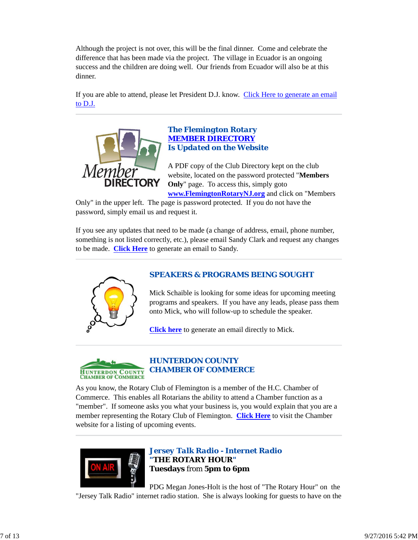Although the project is not over, this will be the final dinner. Come and celebrate the difference that has been made via the project. The village in Ecuador is an ongoing success and the children are doing well. Our friends from Ecuador will also be at this dinner.

If you are able to attend, please let President D.J. know. Click Here to generate an email to D.J.



## *The Flemington Rotary MEMBER DIRECTORY Is Updated on the Website*

A PDF copy of the Club Directory kept on the club website, located on the password protected "**Members Only**" page. To access this, simply goto **www.FlemingtonRotaryNJ.org** and click on "Members

Only" in the upper left. The page is password protected. If you do not have the password, simply email us and request it.

If you see any updates that need to be made (a change of address, email, phone number, something is not listed correctly, etc.), please email Sandy Clark and request any changes to be made. **Click Here** to generate an email to Sandy.



# *SPEAKERS & PROGRAMS BEING SOUGHT*

Mick Schaible is looking for some ideas for upcoming meeting programs and speakers. If you have any leads, please pass them onto Mick, who will follow-up to schedule the speaker.

**Click here** to generate an email directly to Mick.



# *HUNTERDON COUNTY CHAMBER OF COMMERCE*

As you know, the Rotary Club of Flemington is a member of the H.C. Chamber of Commerce. This enables all Rotarians the ability to attend a Chamber function as a "member". If someone asks you what your business is, you would explain that you are a member representing the Rotary Club of Flemington. **Click Here** to visit the Chamber website for a listing of upcoming events.



*Jersey Talk Radio - Internet Radio "THE ROTARY HOUR"* **Tuesdays** from **5pm to 6pm**

PDG Megan Jones-Holt is the host of "The Rotary Hour" on the "Jersey Talk Radio" internet radio station. She is always looking for guests to have on the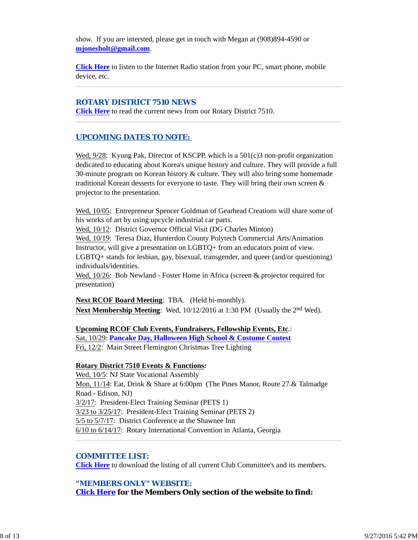show. If you are intersted, please get in touch with Megan at (908)894-4590 or **mjonesholt@gmail.com**.

**Click Here** to listen to the Internet Radio station from your PC, smart phone, mobile device, etc.

#### *ROTARY DISTRICT 7510 NEWS*

**Click Here** to read the current news from our Rotary District 7510.

## *UPCOMING DATES TO NOTE:*

Wed,  $9/28$ : Kyung Pak, Director of KSCPP, which is a 501(c)3 non-profit organization dedicated to educating about Korea's unique history and culture. They will provide a full 30-minute program on Korean history & culture. They will also bring some homemade traditional Korean desserts for everyone to taste. They will bring their own screen & projector to the presentation.

Wed, 10/05: Entrepreneur Spencer Goldman of Gearhead Creations will share some of his works of art by using upcycle industrial car parts.

Wed, 10/12: District Governor Official Visit (DG Charles Minton)

Wed, 10/19: Teresa Diaz, Hunterdon County Polytech Commercial Arts/Animation Instructor, will give a presentation on LGBTQ+ from an educators point of view. LGBTQ+ stands for lesbian, gay, bisexual, transgender, and queer (and/or questioning) individuals/identities.

Wed,  $10/26$ : Bob Newland - Foster Home in Africa (screen & projector required for presentation)

**Next RCOF Board Meeting**: TBA. (Held bi-monthly). **Next Membership Meeting**: Wed, 10/12/2016 at 1:30 PM (Usually the 2<sup>nd</sup> Wed).

#### **Upcoming RCOF Club Events, Fundraisers, Fellowship Events, Etc**.: Sat, 10/29: **Pancake Day, Halloween High School & Costume Contest**

Fri, 12/2: Main Street Flemington Christmas Tree Lighting

#### **Rotary District 7510 Events & Functions:**

Wed, 10/5: NJ State Vocational Assembly Mon, 11/14: Eat, Drink & Share at 6:00pm (The Pines Manor, Route 27 & Talmadge Road - Edison, NJ) 3/2/17: President-Elect Training Seminar (PETS 1) 3/23 to 3/25/17: President-Elect Training Seminar (PETS 2) 5/5 to 5/7/17: District Conference at the Shawnee Inn 6/10 to 6/14/17: Rotary International Convention in Atlanta, Georgia

#### *COMMITTEE LIST:*

**Click Here** to download the listing of all current Club Committee's and its members.

## *"MEMBERS ONLY" WEBSITE:*

**Click Here for the Members Only section of the website to find:**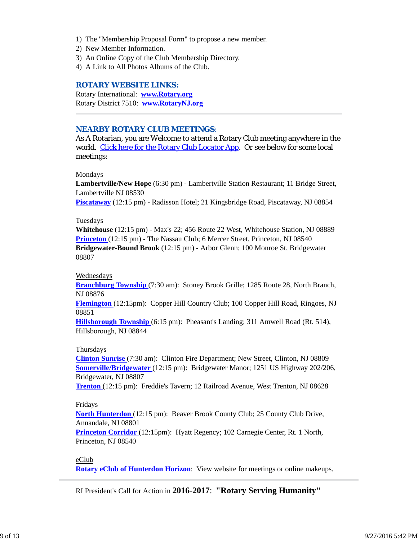- 1) The "Membership Proposal Form" to propose a new member.
- 2) New Member Information.
- 3) An Online Copy of the Club Membership Directory.
- 4) A Link to All Photos Albums of the Club.

#### *ROTARY WEBSITE LINKS:*

Rotary International: **www.Rotary.org** Rotary District 7510: **www.RotaryNJ.org**

## *NEARBY ROTARY CLUB MEETINGS:*

As A Rotarian, you are Welcome to attend a Rotary Club meeting anywhere in the world. Click here for the Rotary Club Locator App. Or see below for some local meetings:

#### Mondays

**Lambertville/New Hope** (6:30 pm) - Lambertville Station Restaurant; 11 Bridge Street, Lambertville NJ 08530

**Piscataway** (12:15 pm) - Radisson Hotel; 21 Kingsbridge Road, Piscataway, NJ 08854

#### Tuesdays

**Whitehouse** (12:15 pm) - Max's 22; 456 Route 22 West, Whitehouse Station, NJ 08889 **Princeton** (12:15 pm) - The Nassau Club; 6 Mercer Street, Princeton, NJ 08540 **Bridgewater-Bound Brook** (12:15 pm) - Arbor Glenn; 100 Monroe St, Bridgewater 08807

## Wednesdays

**Branchburg Township** (7:30 am): Stoney Brook Grille; 1285 Route 28, North Branch, NJ 08876

**Flemington** (12:15pm): Copper Hill Country Club; 100 Copper Hill Road, Ringoes, NJ 08851

**Hillsborough Township** (6:15 pm): Pheasant's Landing; 311 Amwell Road (Rt. 514), Hillsborough, NJ 08844

#### Thursdays

**Clinton Sunrise** (7:30 am): Clinton Fire Department; New Street, Clinton, NJ 08809 **Somerville/Bridgewater** (12:15 pm): Bridgewater Manor; 1251 US Highway 202/206, Bridgewater, NJ 08807

**Trenton** (12:15 pm): Freddie's Tavern; 12 Railroad Avenue, West Trenton, NJ 08628

## Fridays

**North Hunterdon** (12:15 pm): Beaver Brook County Club; 25 County Club Drive, Annandale, NJ 08801

**Princeton Corridor** (12:15pm): Hyatt Regency; 102 Carnegie Center, Rt. 1 North, Princeton, NJ 08540

## eClub

**Rotary eClub of Hunterdon Horizon**: View website for meetings or online makeups.

RI President's Call for Action in **2016-2017**: **"Rotary Serving Humanity"**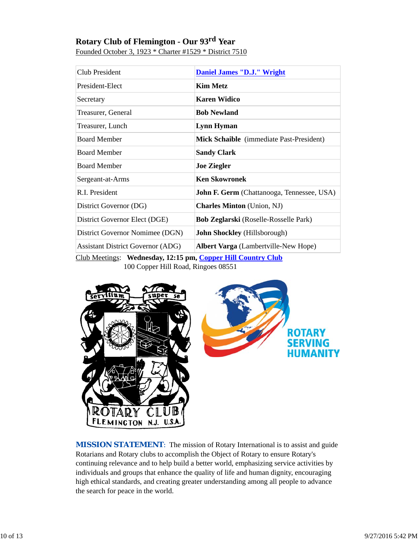# **Rotary Club of Flemington - Our 93rd Year**

Founded October 3, 1923 \* Charter #1529 \* District 7510

| Club President                                               | <b>Daniel James "D.J." Wright</b>            |  |  |
|--------------------------------------------------------------|----------------------------------------------|--|--|
| President-Elect                                              | <b>Kim Metz</b>                              |  |  |
| Secretary                                                    | <b>Karen Widico</b>                          |  |  |
| Treasurer, General                                           | <b>Bob Newland</b>                           |  |  |
| Treasurer, Lunch                                             | <b>Lynn Hyman</b>                            |  |  |
| <b>Board Member</b>                                          | Mick Schaible (immediate Past-President)     |  |  |
| <b>Board Member</b>                                          | <b>Sandy Clark</b>                           |  |  |
| <b>Board Member</b>                                          | <b>Joe Ziegler</b>                           |  |  |
| Sergeant-at-Arms                                             | <b>Ken Skowronek</b>                         |  |  |
| R.I. President                                               | John F. Germ (Chattanooga, Tennessee, USA)   |  |  |
| District Governor (DG)                                       | <b>Charles Minton</b> (Union, NJ)            |  |  |
| District Governor Elect (DGE)                                | <b>Bob Zeglarski</b> (Roselle-Rosselle Park) |  |  |
| District Governor Nomimee (DGN)                              | <b>John Shockley</b> (Hillsborough)          |  |  |
| <b>Assistant District Governor (ADG)</b>                     | <b>Albert Varga</b> (Lambertville-New Hope)  |  |  |
| Club Meetings: Wednesday, 12:15 pm, Copper Hill Country Club |                                              |  |  |

100 Copper Hill Road, Ringoes 08551



**MISSION STATEMENT:** The mission of Rotary International is to assist and guide Rotarians and Rotary clubs to accomplish the Object of Rotary to ensure Rotary's continuing relevance and to help build a better world, emphasizing service activities by individuals and groups that enhance the quality of life and human dignity, encouraging high ethical standards, and creating greater understanding among all people to advance the search for peace in the world.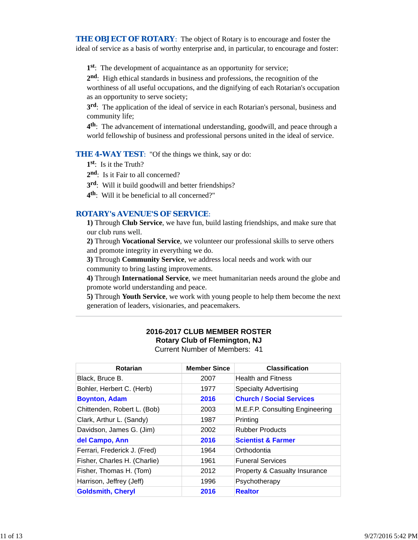**THE OBJECT OF ROTARY:** The object of Rotary is to encourage and foster the ideal of service as a basis of worthy enterprise and, in particular, to encourage and foster:

**1st**: The development of acquaintance as an opportunity for service;

**2nd**: High ethical standards in business and professions, the recognition of the

worthiness of all useful occupations, and the dignifying of each Rotarian's occupation as an opportunity to serve society;

**3rd**: The application of the ideal of service in each Rotarian's personal, business and community life;

**4th**: The advancement of international understanding, goodwill, and peace through a world fellowship of business and professional persons united in the ideal of service.

**THE 4-WAY TEST:** "Of the things we think, say or do:

- **1st**: Is it the Truth?
- 2<sup>nd</sup>: Is it Fair to all concerned?
- **3rd**: Will it build goodwill and better friendships?
- **4th**: Will it be beneficial to all concerned?"

## *ROTARY's AVENUE'S OF SERVICE*:

**1)** Through **Club Service**, we have fun, build lasting friendships, and make sure that our club runs well.

**2)** Through **Vocational Service**, we volunteer our professional skills to serve others and promote integrity in everything we do.

**3)** Through **Community Service**, we address local needs and work with our community to bring lasting improvements.

**4)** Through **International Service**, we meet humanitarian needs around the globe and promote world understanding and peace.

**5)** Through **Youth Service**, we work with young people to help them become the next generation of leaders, visionaries, and peacemakers.

## **2016-2017 CLUB MEMBER ROSTER Rotary Club of Flemington, NJ** Current Number of Members: 41

| Rotarian                     | <b>Member Since</b> | <b>Classification</b>           |
|------------------------------|---------------------|---------------------------------|
| Black, Bruce B.              | 2007                | <b>Health and Fitness</b>       |
| Bohler, Herbert C. (Herb)    | 1977                | <b>Specialty Advertising</b>    |
| <b>Boynton, Adam</b>         | 2016                | <b>Church / Social Services</b> |
| Chittenden, Robert L. (Bob)  | 2003                | M.E.F.P. Consulting Engineering |
| Clark, Arthur L. (Sandy)     | 1987                | Printing                        |
| Davidson, James G. (Jim)     | 2002                | <b>Rubber Products</b>          |
| del Campo, Ann               | 2016                | <b>Scientist &amp; Farmer</b>   |
| Ferrari, Frederick J. (Fred) | 1964                | Orthodontia                     |
| Fisher, Charles H. (Charlie) | 1961                | <b>Funeral Services</b>         |
| Fisher, Thomas H. (Tom)      | 2012                | Property & Casualty Insurance   |
| Harrison, Jeffrey (Jeff)     | 1996                | Psychotherapy                   |
| <b>Goldsmith, Cheryl</b>     | 2016                | <b>Realtor</b>                  |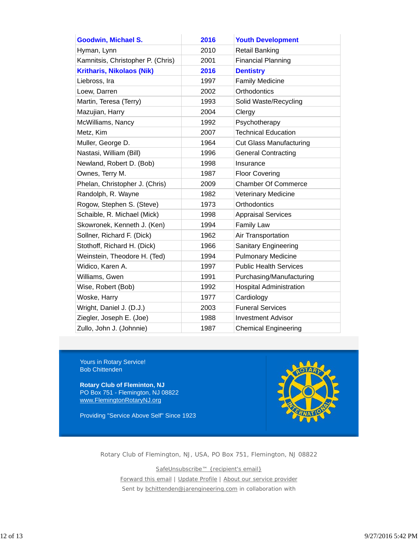| <b>Goodwin, Michael S.</b>        | 2016 | <b>Youth Development</b>       |
|-----------------------------------|------|--------------------------------|
| Hyman, Lynn                       | 2010 | <b>Retail Banking</b>          |
| Kamnitsis, Christopher P. (Chris) | 2001 | <b>Financial Planning</b>      |
| <b>Kritharis, Nikolaos (Nik)</b>  | 2016 | <b>Dentistry</b>               |
| Liebross, Ira                     | 1997 | <b>Family Medicine</b>         |
| Loew, Darren                      | 2002 | Orthodontics                   |
| Martin, Teresa (Terry)            | 1993 | Solid Waste/Recycling          |
| Mazujian, Harry                   | 2004 | Clergy                         |
| McWilliams, Nancy                 | 1992 | Psychotherapy                  |
| Metz, Kim                         | 2007 | <b>Technical Education</b>     |
| Muller, George D.                 | 1964 | <b>Cut Glass Manufacturing</b> |
| Nastasi, William (Bill)           | 1996 | <b>General Contracting</b>     |
| Newland, Robert D. (Bob)          | 1998 | Insurance                      |
| Ownes, Terry M.                   | 1987 | <b>Floor Covering</b>          |
| Phelan, Christopher J. (Chris)    | 2009 | <b>Chamber Of Commerce</b>     |
| Randolph, R. Wayne                | 1982 | <b>Veterinary Medicine</b>     |
| Rogow, Stephen S. (Steve)         | 1973 | Orthodontics                   |
| Schaible, R. Michael (Mick)       | 1998 | <b>Appraisal Services</b>      |
| Skowronek, Kenneth J. (Ken)       | 1994 | <b>Family Law</b>              |
| Sollner, Richard F. (Dick)        | 1962 | Air Transportation             |
| Stothoff, Richard H. (Dick)       | 1966 | Sanitary Engineering           |
| Weinstein, Theodore H. (Ted)      | 1994 | <b>Pulmonary Medicine</b>      |
| Widico, Karen A.                  | 1997 | <b>Public Health Services</b>  |
| Williams, Gwen                    | 1991 | Purchasing/Manufacturing       |
| Wise, Robert (Bob)                | 1992 | <b>Hospital Administration</b> |
| Woske, Harry                      | 1977 | Cardiology                     |
| Wright, Daniel J. (D.J.)          | 2003 | <b>Funeral Services</b>        |
| Ziegler, Joseph E. (Joe)          | 1988 | <b>Investment Advisor</b>      |
| Zullo, John J. (Johnnie)          | 1987 | <b>Chemical Engineering</b>    |

Yours in Rotary Service! Bob Chittenden

**Rotary Club of Fleminton, NJ** PO Box 751 - Flemington, NJ 08822 www.FlemingtonRotaryNJ.org

Providing "Service Above Self" Since 1923



Rotary Club of Flemington, NJ, USA, PO Box 751, Flemington, NJ 08822

SafeUnsubscribe™ {recipient's email} Forward this email | Update Profile | About our service provider Sent by bchittenden@jarengineering.com in collaboration with